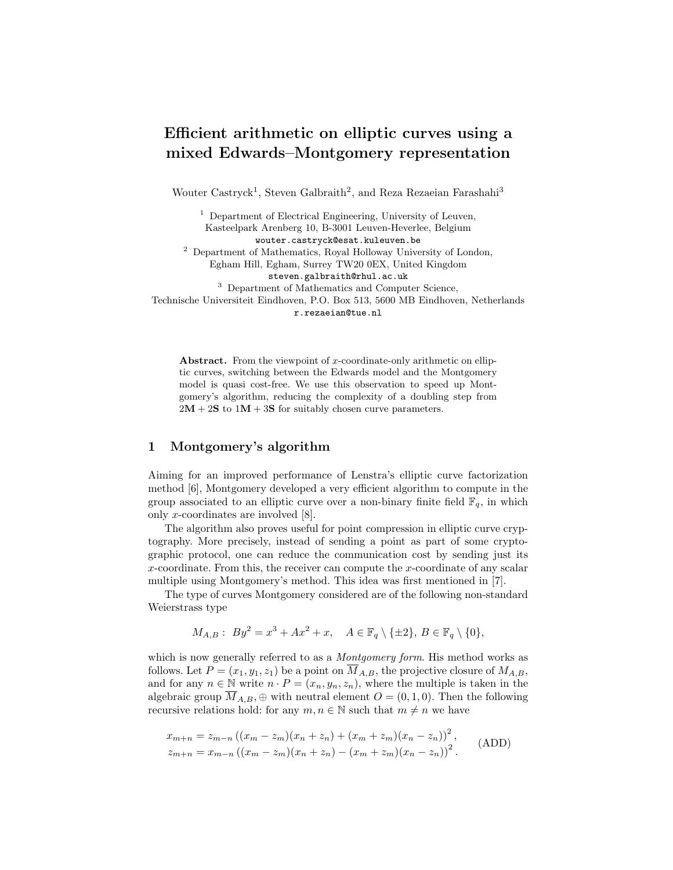# Efficient arithmetic on elliptic curves using a mixed Edwards–Montgomery representation

Wouter Castryck<sup>1</sup>, Steven Galbraith<sup>2</sup>, and Reza Rezaeian Farashahi<sup>3</sup>

 $^{\rm 1}$  Department of Electrical Engineering, University of Leuven, Kasteelpark Arenberg 10, B-3001 Leuven-Heverlee, Belgium wouter.castryck@esat.kuleuven.be  $<sup>2</sup>$  Department of Mathematics, Royal Holloway University of London,</sup> Egham Hill, Egham, Surrey TW20 0EX, United Kingdom steven.galbraith@rhul.ac.uk <sup>3</sup> Department of Mathematics and Computer Science, Technische Universiteit Eindhoven, P.O. Box 513, 5600 MB Eindhoven, Netherlands r.rezaeian@tue.nl

Abstract. From the viewpoint of x-coordinate-only arithmetic on elliptic curves, switching between the Edwards model and the Montgomery model is quasi cost-free. We use this observation to speed up Montgomery's algorithm, reducing the complexity of a doubling step from  $2M + 2S$  to  $1M + 3S$  for suitably chosen curve parameters.

# 1 Montgomery's algorithm

Aiming for an improved performance of Lenstra's elliptic curve factorization method [6], Montgomery developed a very efficient algorithm to compute in the group associated to an elliptic curve over a non-binary finite field  $\mathbb{F}_q$ , in which only x-coordinates are involved [8].

The algorithm also proves useful for point compression in elliptic curve cryptography. More precisely, instead of sending a point as part of some cryptographic protocol, one can reduce the communication cost by sending just its x-coordinate. From this, the receiver can compute the x-coordinate of any scalar multiple using Montgomery's method. This idea was first mentioned in [7].

The type of curves Montgomery considered are of the following non-standard Weierstrass type

$$
M_{A,B}: By^2 = x^3 + Ax^2 + x, \quad A \in \mathbb{F}_q \setminus \{\pm 2\}, B \in \mathbb{F}_q \setminus \{0\},\
$$

which is now generally referred to as a *Montgomery form*. His method works as follows. Let  $P = (x_1, y_1, z_1)$  be a point on  $\overline{M}_{A,B}$ , the projective closure of  $M_{A,B}$ , and for any  $n \in \mathbb{N}$  write  $n \cdot P = (x_n, y_n, z_n)$ , where the multiple is taken in the algebraic group  $\overline{M}_{A,B}$ ,  $\oplus$  with neutral element  $O = (0,1,0)$ . Then the following recursive relations hold: for any  $m, n \in \mathbb{N}$  such that  $m \neq n$  we have

$$
x_{m+n} = z_{m-n} ((x_m - z_m)(x_n + z_n) + (x_m + z_m)(x_n - z_n))^2,
$$
  
\n
$$
z_{m+n} = x_{m-n} ((x_m - z_m)(x_n + z_n) - (x_m + z_m)(x_n - z_n))^2.
$$
 (ADD)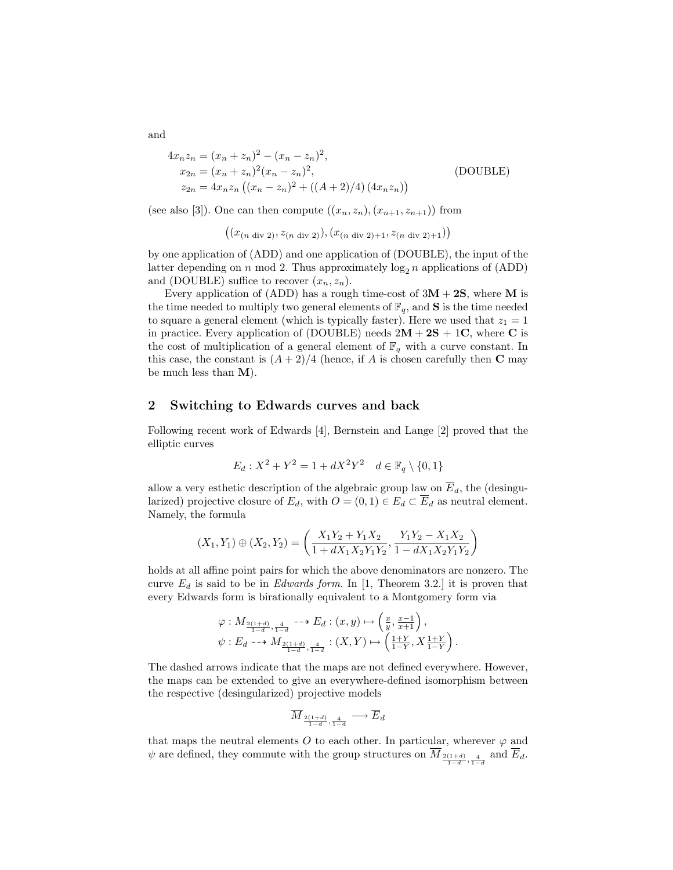$$
4x_n z_n = (x_n + z_n)^2 - (x_n - z_n)^2,
$$
  
\n
$$
x_{2n} = (x_n + z_n)^2 (x_n - z_n)^2,
$$
  
\n
$$
z_{2n} = 4x_n z_n ((x_n - z_n)^2 + ((A + 2)/4) (4x_n z_n))
$$
\n(DOUBLE)

(see also [3]). One can then compute  $((x_n, z_n), (x_{n+1}, z_{n+1}))$  from

$$
((x_{(n \text{ div } 2)}, z_{(n \text{ div } 2)}), (x_{(n \text{ div } 2)+1}, z_{(n \text{ div } 2)+1}))
$$

by one application of (ADD) and one application of (DOUBLE), the input of the latter depending on n mod 2. Thus approximately  $\log_2 n$  applications of (ADD) and (DOUBLE) suffice to recover  $(x_n, z_n)$ .

Every application of (ADD) has a rough time-cost of  $3M + 2S$ , where M is the time needed to multiply two general elements of  $\mathbb{F}_q$ , and **S** is the time needed to square a general element (which is typically faster). Here we used that  $z_1 = 1$ in practice. Every application of (DOUBLE) needs  $2M + 2S + 1C$ , where C is the cost of multiplication of a general element of  $\mathbb{F}_q$  with a curve constant. In this case, the constant is  $(A+2)/4$  (hence, if A is chosen carefully then C may be much less than M).

# 2 Switching to Edwards curves and back

Following recent work of Edwards [4], Bernstein and Lange [2] proved that the elliptic curves

$$
E_d: X^2 + Y^2 = 1 + dX^2Y^2 \quad d \in \mathbb{F}_q \setminus \{0, 1\}
$$

allow a very esthetic description of the algebraic group law on  $\overline{E}_d$ , the (desingularized) projective closure of  $E_d$ , with  $O = (0, 1) \in E_d \subset \overline{E}_d$  as neutral element. Namely, the formula

$$
(X_1, Y_1) \oplus (X_2, Y_2) = \left(\frac{X_1Y_2 + Y_1X_2}{1 + dX_1X_2Y_1Y_2}, \frac{Y_1Y_2 - X_1X_2}{1 - dX_1X_2Y_1Y_2}\right)
$$

holds at all affine point pairs for which the above denominators are nonzero. The curve  $E_d$  is said to be in *Edwards form*. In [1, Theorem 3.2.] it is proven that every Edwards form is birationally equivalent to a Montgomery form via

$$
\varphi: M_{\frac{2(1+d)}{1-d}, \frac{4}{1-d}} \longrightarrow E_d: (x, y) \longmapsto \left(\frac{x}{y}, \frac{x-1}{x+1}\right),
$$
  

$$
\psi: E_d \longrightarrow M_{\frac{2(1+d)}{1-d}, \frac{4}{1-d}}: (X, Y) \longmapsto \left(\frac{1+Y}{1-Y}, X\frac{1+Y}{1-Y}\right).
$$

The dashed arrows indicate that the maps are not defined everywhere. However, the maps can be extended to give an everywhere-defined isomorphism between the respective (desingularized) projective models

$$
\overline{M}_{\frac{2(1+d)}{1-d},\frac{4}{1-d}} \longrightarrow \overline{E}_d
$$

that maps the neutral elements O to each other. In particular, wherever  $\varphi$  and  $\psi$  are defined, they commute with the group structures on  $M_{\frac{2(1+d)}{1-d},\frac{4}{1-d}}$  and  $E_d$ .

and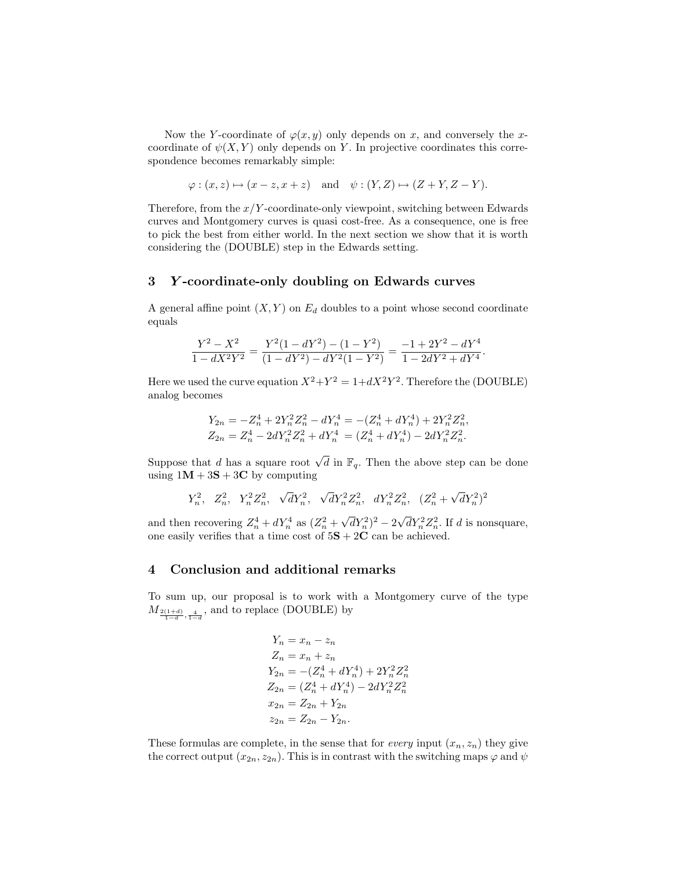Now the Y-coordinate of  $\varphi(x, y)$  only depends on x, and conversely the xcoordinate of  $\psi(X, Y)$  only depends on Y. In projective coordinates this correspondence becomes remarkably simple:

$$
\varphi : (x, z) \mapsto (x - z, x + z)
$$
 and  $\psi : (Y, Z) \mapsto (Z + Y, Z - Y)$ .

Therefore, from the  $x/Y$ -coordinate-only viewpoint, switching between Edwards curves and Montgomery curves is quasi cost-free. As a consequence, one is free to pick the best from either world. In the next section we show that it is worth considering the (DOUBLE) step in the Edwards setting.

#### 3 Y -coordinate-only doubling on Edwards curves

A general affine point  $(X, Y)$  on  $E_d$  doubles to a point whose second coordinate equals

$$
\frac{Y^2 - X^2}{1 - dX^2Y^2} = \frac{Y^2(1 - dY^2) - (1 - Y^2)}{(1 - dY^2) - dY^2(1 - Y^2)} = \frac{-1 + 2Y^2 - dY^4}{1 - 2dY^2 + dY^4}.
$$

Here we used the curve equation  $X^2 + Y^2 = 1 + dX^2Y^2$ . Therefore the (DOUBLE) analog becomes

$$
\begin{array}{l} Y_{2n}=-Z_{n}^{4}+2Y_{n}^{2}Z_{n}^{2}-dY_{n}^{4}=-\left(Z_{n}^{4}+dY_{n}^{4}\right)+2Y_{n}^{2}Z_{n}^{2},\\ Z_{2n}=Z_{n}^{4}-2dY_{n}^{2}Z_{n}^{2}+dY_{n}^{4}=\left(Z_{n}^{4}+dY_{n}^{4}\right)-2dY_{n}^{2}Z_{n}^{2}.\end{array}
$$

Suppose that d has a square root  $\sqrt{d}$  in  $\mathbb{F}_q$ . Then the above step can be done using  $1M + 3S + 3C$  by computing

$$
Y_n^2, \ \ Z_n^2, \ \ Y_n^2 Z_n^2, \ \ \sqrt{d}Y_n^2, \ \ \sqrt{d}Y_n^2 Z_n^2, \ \ dY_n^2 Z_n^2, \ \ (Z_n^2 + \sqrt{d}Y_n^2)^2
$$

and then recovering  $Z_n^4 + dY_n^4$  as  $(Z_n^2 +$  $\sqrt{d}Y_n^2$ <sup>2</sup> –  $2\sqrt{d}Y_n^2Z_n^2$ . If d is nonsquare, one easily verifies that a time cost of  $5S + 2C$  can be achieved.

### 4 Conclusion and additional remarks

To sum up, our proposal is to work with a Montgomery curve of the type  $M_{\frac{2(1+d)}{1-d},\frac{4}{1-d}}$ , and to replace (DOUBLE) by

$$
Y_n = x_n - z_n
$$
  
\n
$$
Z_n = x_n + z_n
$$
  
\n
$$
Y_{2n} = -(Z_n^4 + dY_n^4) + 2Y_n^2 Z_n^2
$$
  
\n
$$
Z_{2n} = (Z_n^4 + dY_n^4) - 2dY_n^2 Z_n^2
$$
  
\n
$$
x_{2n} = Z_{2n} + Y_{2n}
$$
  
\n
$$
z_{2n} = Z_{2n} - Y_{2n}.
$$

These formulas are complete, in the sense that for *every* input  $(x_n, z_n)$  they give the correct output  $(x_{2n}, z_{2n})$ . This is in contrast with the switching maps  $\varphi$  and  $\psi$